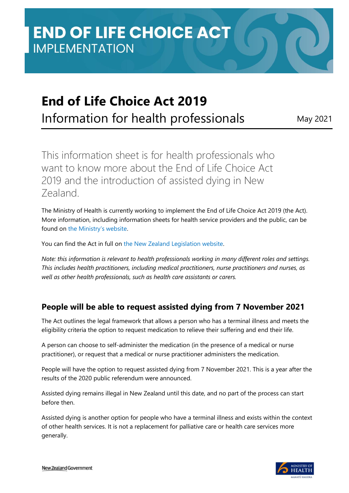# **End of Life Choice Act 2019**

Information for health professionals May 2021

This information sheet is for health professionals who want to know more about the End of Life Choice Act 2019 and the introduction of assisted dying in New Zealand.

The Ministry of Health is currently working to implement the End of Life Choice Act 2019 (the Act). More information, including information sheets for health service providers and the public, can be found on [the Ministry's website](https://www.health.govt.nz/our-work/regulation-health-and-disability-system/end-life-choice-act).

You can find the Act in full on [the New Zealand Legislation website.](https://www.legislation.govt.nz/act/public/2019/0067/latest/DLM7285905.html)

*Note: this information is relevant to health professionals working in many different roles and settings. This includes health practitioners, including medical practitioners, nurse practitioners and nurses, as well as other health professionals, such as health care assistants or carers.*

## **People will be able to request assisted dying from 7 November 2021**

The Act outlines the legal framework that allows a person who has a terminal illness and meets the eligibility criteria the option to request medication to relieve their suffering and end their life.

A person can choose to self-administer the medication (in the presence of a medical or nurse practitioner), or request that a medical or nurse practitioner administers the medication.

People will have the option to request assisted dying from 7 November 2021. This is a year after the results of the 2020 public referendum were announced.

Assisted dying remains illegal in New Zealand until this date, and no part of the process can start before then.

Assisted dying is another option for people who have a terminal illness and exists within the context of other health services. It is not a replacement for palliative care or health care services more generally.

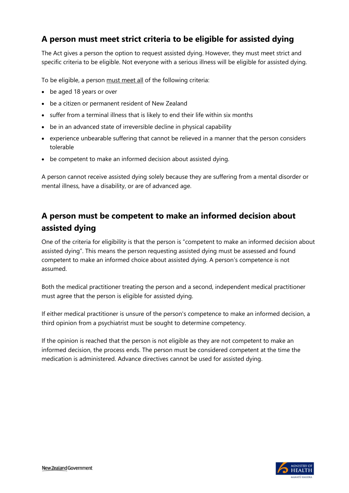## **A person must meet strict criteria to be eligible for assisted dying**

The Act gives a person the option to request assisted dying. However, they must meet strict and specific criteria to be eligible. Not everyone with a serious illness will be eligible for assisted dying.

To be eligible, a person must meet all of the following criteria:

- be aged 18 years or over
- be a citizen or permanent resident of New Zealand
- suffer from a terminal illness that is likely to end their life within six months
- be in an advanced state of irreversible decline in physical capability
- experience unbearable suffering that cannot be relieved in a manner that the person considers tolerable
- be competent to make an informed decision about assisted dying.

A person cannot receive assisted dying solely because they are suffering from a mental disorder or mental illness, have a disability, or are of advanced age.

# **A person must be competent to make an informed decision about assisted dying**

One of the criteria for eligibility is that the person is "competent to make an informed decision about assisted dying". This means the person requesting assisted dying must be assessed and found competent to make an informed choice about assisted dying. A person's competence is not assumed.

Both the medical practitioner treating the person and a second, independent medical practitioner must agree that the person is eligible for assisted dying.

If either medical practitioner is unsure of the person's competence to make an informed decision, a third opinion from a psychiatrist must be sought to determine competency.

If the opinion is reached that the person is not eligible as they are not competent to make an informed decision, the process ends. The person must be considered competent at the time the medication is administered. Advance directives cannot be used for assisted dying.

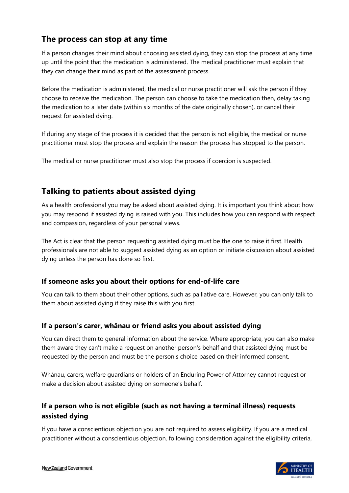## **The process can stop at any time**

If a person changes their mind about choosing assisted dying, they can stop the process at any time up until the point that the medication is administered. The medical practitioner must explain that they can change their mind as part of the assessment process.

Before the medication is administered, the medical or nurse practitioner will ask the person if they choose to receive the medication. The person can choose to take the medication then, delay taking the medication to a later date (within six months of the date originally chosen), or cancel their request for assisted dying.

If during any stage of the process it is decided that the person is not eligible, the medical or nurse practitioner must stop the process and explain the reason the process has stopped to the person.

The medical or nurse practitioner must also stop the process if coercion is suspected.

# **Talking to patients about assisted dying**

As a health professional you may be asked about assisted dying. It is important you think about how you may respond if assisted dying is raised with you. This includes how you can respond with respect and compassion, regardless of your personal views.

The Act is clear that the person requesting assisted dying must be the one to raise it first. Health professionals are not able to suggest assisted dying as an option or initiate discussion about assisted dying unless the person has done so first.

#### **If someone asks you about their options for end-of-life care**

You can talk to them about their other options, such as palliative care. However, you can only talk to them about assisted dying if they raise this with you first.

#### **If a person's carer, whānau or friend asks you about assisted dying**

You can direct them to general information about the service. Where appropriate, you can also make them aware they can't make a request on another person's behalf and that assisted dying must be requested by the person and must be the person's choice based on their informed consent.

Whānau, carers, welfare guardians or holders of an Enduring Power of Attorney cannot request or make a decision about assisted dying on someone's behalf.

#### **If a person who is not eligible (such as not having a terminal illness) requests assisted dying**

If you have a conscientious objection you are not required to assess eligibility. If you are a medical practitioner without a conscientious objection, following consideration against the eligibility criteria,

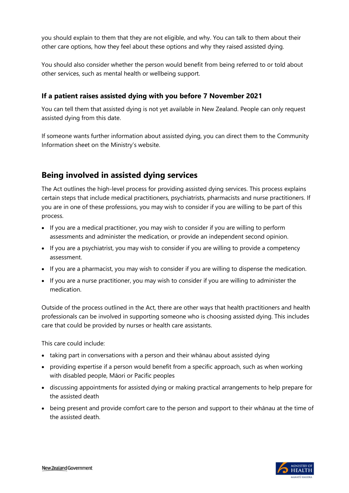you should explain to them that they are not eligible, and why. You can talk to them about their other care options, how they feel about these options and why they raised assisted dying.

You should also consider whether the person would benefit from being referred to or told about other services, such as mental health or wellbeing support.

#### **If a patient raises assisted dying with you before 7 November 2021**

You can tell them that assisted dying is not yet available in New Zealand. People can only request assisted dying from this date.

If someone wants further information about assisted dying, you can direct them to the Community Information sheet on the Ministry's website.

## **Being involved in assisted dying services**

The Act outlines the high-level process for providing assisted dying services. This process explains certain steps that include medical practitioners, psychiatrists, pharmacists and nurse practitioners. If you are in one of these professions, you may wish to consider if you are willing to be part of this process.

- If you are a medical practitioner, you may wish to consider if you are willing to perform assessments and administer the medication, or provide an independent second opinion.
- If you are a psychiatrist, you may wish to consider if you are willing to provide a competency assessment.
- If you are a pharmacist, you may wish to consider if you are willing to dispense the medication.
- If you are a nurse practitioner, you may wish to consider if you are willing to administer the medication.

Outside of the process outlined in the Act, there are other ways that health practitioners and health professionals can be involved in supporting someone who is choosing assisted dying. This includes care that could be provided by nurses or health care assistants.

This care could include:

- taking part in conversations with a person and their whānau about assisted dying
- providing expertise if a person would benefit from a specific approach, such as when working with disabled people, Māori or Pacific peoples
- discussing appointments for assisted dying or making practical arrangements to help prepare for the assisted death
- being present and provide comfort care to the person and support to their whānau at the time of the assisted death.

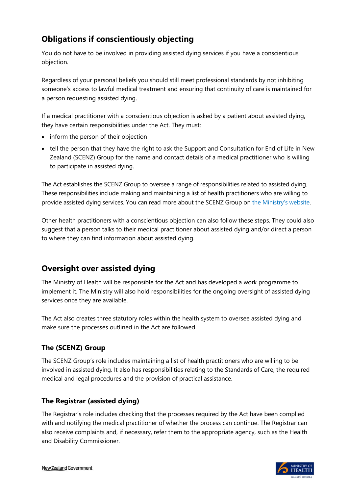# **Obligations if conscientiously objecting**

You do not have to be involved in providing assisted dying services if you have a conscientious objection.

Regardless of your personal beliefs you should still meet professional standards by not inhibiting someone's access to lawful medical treatment and ensuring that continuity of care is maintained for a person requesting assisted dying.

If a medical practitioner with a conscientious objection is asked by a patient about assisted dying, they have certain responsibilities under the Act. They must:

- inform the person of their objection
- tell the person that they have the right to ask the Support and Consultation for End of Life in New Zealand (SCENZ) Group for the name and contact details of a medical practitioner who is willing to participate in assisted dying.

The Act establishes the SCENZ Group to oversee a range of responsibilities related to assisted dying. These responsibilities include making and maintaining a list of health practitioners who are willing to provide assisted dying services. You can read more about the SCENZ Group on [the Ministry's website](https://www.health.govt.nz/our-work/regulation-health-and-disability-system/end-life-choice-act).

Other health practitioners with a conscientious objection can also follow these steps. They could also suggest that a person talks to their medical practitioner about assisted dying and/or direct a person to where they can find information about assisted dying.

# **Oversight over assisted dying**

The Ministry of Health will be responsible for the Act and has developed a work programme to implement it. The Ministry will also hold responsibilities for the ongoing oversight of assisted dying services once they are available.

The Act also creates three statutory roles within the health system to oversee assisted dying and make sure the processes outlined in the Act are followed.

#### **The (SCENZ) Group**

The SCENZ Group's role includes maintaining a list of health practitioners who are willing to be involved in assisted dying. It also has responsibilities relating to the Standards of Care, the required medical and legal procedures and the provision of practical assistance.

#### **The Registrar (assisted dying)**

The Registrar's role includes checking that the processes required by the Act have been complied with and notifying the medical practitioner of whether the process can continue. The Registrar can also receive complaints and, if necessary, refer them to the appropriate agency, such as the Health and Disability Commissioner.

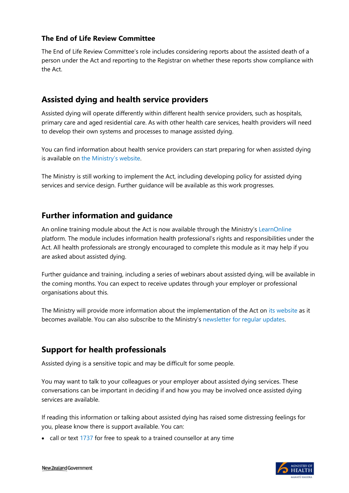#### **The End of Life Review Committee**

The End of Life Review Committee's role includes considering reports about the assisted death of a person under the Act and reporting to the Registrar on whether these reports show compliance with the Act.

## **Assisted dying and health service providers**

Assisted dying will operate differently within different health service providers, such as hospitals, primary care and aged residential care. As with other health care services, health providers will need to develop their own systems and processes to manage assisted dying.

You can find information about health service providers can start preparing for when assisted dying is available on [the Ministry's website](https://www.health.govt.nz/our-work/regulation-health-and-disability-system/end-life-choice-act/end-life-choice-act-updates).

The Ministry is still working to implement the Act, including developing policy for assisted dying services and service design. Further guidance will be available as this work progresses.

#### **Further information and guidance**

An online training module about the Act is now available through the Ministry's [LearnOnline](https://learnonline.health.nz/) platform. The module includes information health professional's rights and responsibilities under the Act. All health professionals are strongly encouraged to complete this module as it may help if you are asked about assisted dying.

Further guidance and training, including a series of webinars about assisted dying, will be available in the coming months. You can expect to receive updates through your employer or professional organisations about this.

The Ministry will provide more information about the implementation of the Act on [its website](https://www.health.govt.nz/our-work/regulation-health-and-disability-system/end-life-choice-act/end-life-choice-act-updates) as it becomes available. You can also subscribe to the Ministry's [newsletter for regular updates.](https://www.health.govt.nz/our-work/regulation-health-and-disability-system/end-life-choice-act/end-life-choice-act-updates)

## **Support for health professionals**

Assisted dying is a sensitive topic and may be difficult for some people.

You may want to talk to your colleagues or your employer about assisted dying services. These conversations can be important in deciding if and how you may be involved once assisted dying services are available.

If reading this information or talking about assisted dying has raised some distressing feelings for you, please know there is support available. You can:

• call or text [1737](https://1737.org.nz/) for free to speak to a trained counsellor at any time